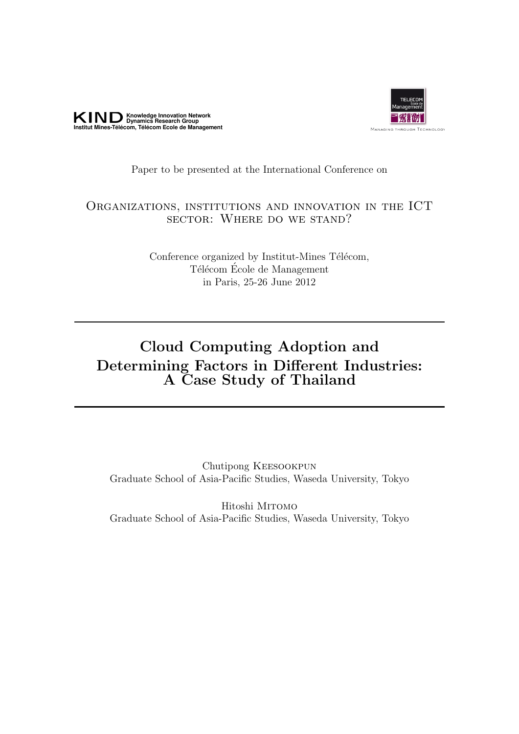



# Paper to be presented at the International Conference on

# Organizations, institutions and innovation in the ICT sector: Where do we stand?

Conference organized by Institut-Mines Télécom, Télécom École de Management in Paris, 25-26 June 2012

# Cloud Computing Adoption and Determining Factors in Different Industries: A Case Study of Thailand

Chutipong Keesookpun Graduate School of Asia-Pacific Studies, Waseda University, Tokyo

Hitoshi Mitomo Graduate School of Asia-Pacific Studies, Waseda University, Tokyo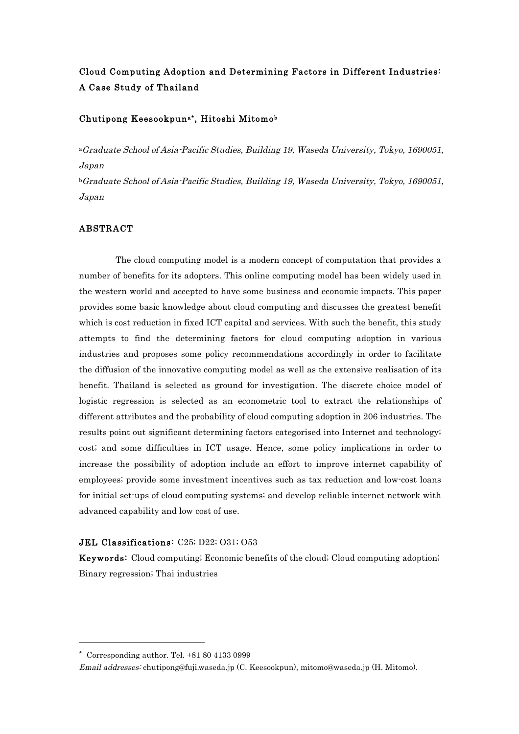# Cloud Computing Adoption and Determining Factors in Different Industries: A Case Study of Thailand

## Chutipong Keesookpun<sup>a\*</sup>, Hitoshi Mitomob

<sup>a</sup>Graduate School of Asia-Pacific Studies, Building 19, Waseda University, Tokyo, 1690051, Japan

<sup>b</sup>Graduate School of Asia-Pacific Studies, Building 19, Waseda University, Tokyo, 1690051, Japan

#### ABSTRACT

 The cloud computing model is a modern concept of computation that provides a number of benefits for its adopters. This online computing model has been widely used in the western world and accepted to have some business and economic impacts. This paper provides some basic knowledge about cloud computing and discusses the greatest benefit which is cost reduction in fixed ICT capital and services. With such the benefit, this study attempts to find the determining factors for cloud computing adoption in various industries and proposes some policy recommendations accordingly in order to facilitate the diffusion of the innovative computing model as well as the extensive realisation of its benefit. Thailand is selected as ground for investigation. The discrete choice model of logistic regression is selected as an econometric tool to extract the relationships of different attributes and the probability of cloud computing adoption in 206 industries. The results point out significant determining factors categorised into Internet and technology; cost; and some difficulties in ICT usage. Hence, some policy implications in order to increase the possibility of adoption include an effort to improve internet capability of employees; provide some investment incentives such as tax reduction and low-cost loans for initial set-ups of cloud computing systems; and develop reliable internet network with advanced capability and low cost of use.

#### JEL Classifications: C25; D22; O31; O53

Keywords: Cloud computing; Economic benefits of the cloud; Cloud computing adoption; Binary regression; Thai industries

l

 $*$  Corresponding author. Tel.  $+818041330999$ 

Email addresses: chutipong@fuji.waseda.jp (C. Keesookpun), mitomo@waseda.jp (H. Mitomo).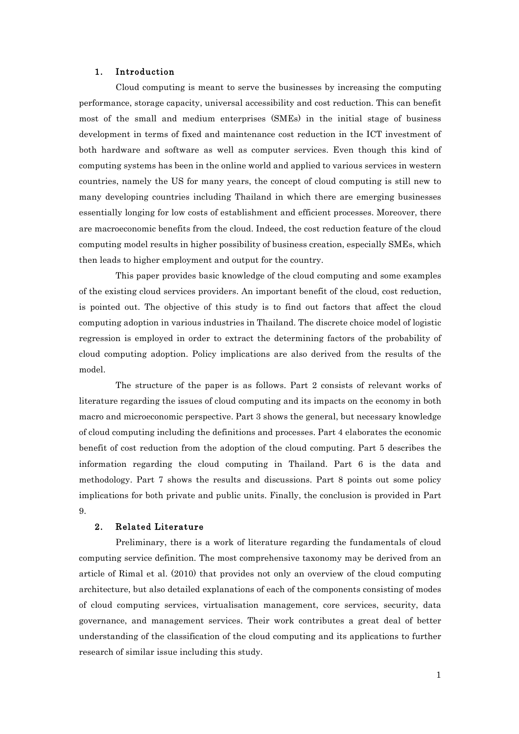#### 1. Introduction

Cloud computing is meant to serve the businesses by increasing the computing performance, storage capacity, universal accessibility and cost reduction. This can benefit most of the small and medium enterprises (SMEs) in the initial stage of business development in terms of fixed and maintenance cost reduction in the ICT investment of both hardware and software as well as computer services. Even though this kind of computing systems has been in the online world and applied to various services in western countries, namely the US for many years, the concept of cloud computing is still new to many developing countries including Thailand in which there are emerging businesses essentially longing for low costs of establishment and efficient processes. Moreover, there are macroeconomic benefits from the cloud. Indeed, the cost reduction feature of the cloud computing model results in higher possibility of business creation, especially SMEs, which then leads to higher employment and output for the country.

This paper provides basic knowledge of the cloud computing and some examples of the existing cloud services providers. An important benefit of the cloud, cost reduction, is pointed out. The objective of this study is to find out factors that affect the cloud computing adoption in various industries in Thailand. The discrete choice model of logistic regression is employed in order to extract the determining factors of the probability of cloud computing adoption. Policy implications are also derived from the results of the model.

The structure of the paper is as follows. Part 2 consists of relevant works of literature regarding the issues of cloud computing and its impacts on the economy in both macro and microeconomic perspective. Part 3 shows the general, but necessary knowledge of cloud computing including the definitions and processes. Part 4 elaborates the economic benefit of cost reduction from the adoption of the cloud computing. Part 5 describes the information regarding the cloud computing in Thailand. Part 6 is the data and methodology. Part 7 shows the results and discussions. Part 8 points out some policy implications for both private and public units. Finally, the conclusion is provided in Part 9.

#### 2. Related Literature

Preliminary, there is a work of literature regarding the fundamentals of cloud computing service definition. The most comprehensive taxonomy may be derived from an article of Rimal et al. (2010) that provides not only an overview of the cloud computing architecture, but also detailed explanations of each of the components consisting of modes of cloud computing services, virtualisation management, core services, security, data governance, and management services. Their work contributes a great deal of better understanding of the classification of the cloud computing and its applications to further research of similar issue including this study.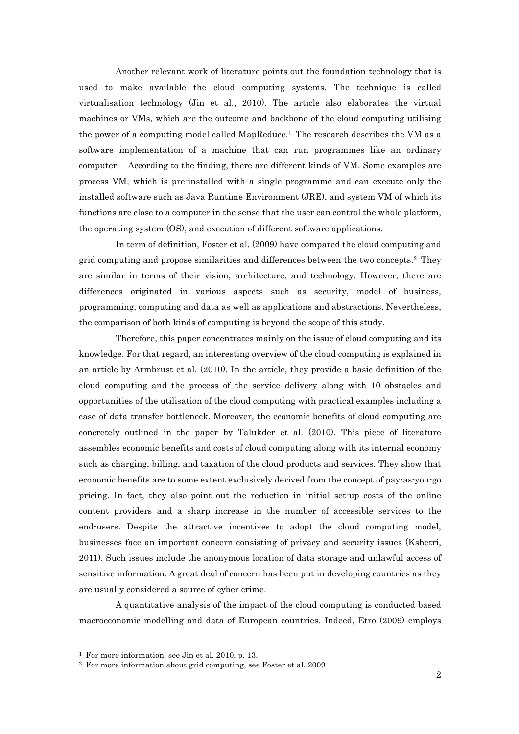Another relevant work of literature points out the foundation technology that is used to make available the cloud computing systems. The technique is called virtualisation technology (Jin et al., 2010). The article also elaborates the virtual machines or VMs, which are the outcome and backbone of the cloud computing utilising the power of a computing model called MapReduce.1 The research describes the VM as a software implementation of a machine that can run programmes like an ordinary computer. According to the finding, there are different kinds of VM. Some examples are process VM, which is pre-installed with a single programme and can execute only the installed software such as Java Runtime Environment (JRE), and system VM of which its functions are close to a computer in the sense that the user can control the whole platform, the operating system (OS), and execution of different software applications.

In term of definition, Foster et al. (2009) have compared the cloud computing and grid computing and propose similarities and differences between the two concepts.2 They are similar in terms of their vision, architecture, and technology. However, there are differences originated in various aspects such as security, model of business, programming, computing and data as well as applications and abstractions. Nevertheless, the comparison of both kinds of computing is beyond the scope of this study.

Therefore, this paper concentrates mainly on the issue of cloud computing and its knowledge. For that regard, an interesting overview of the cloud computing is explained in an article by Armbrust et al. (2010). In the article, they provide a basic definition of the cloud computing and the process of the service delivery along with 10 obstacles and opportunities of the utilisation of the cloud computing with practical examples including a case of data transfer bottleneck. Moreover, the economic benefits of cloud computing are concretely outlined in the paper by Talukder et al. (2010). This piece of literature assembles economic benefits and costs of cloud computing along with its internal economy such as charging, billing, and taxation of the cloud products and services. They show that economic benefits are to some extent exclusively derived from the concept of pay-as-you-go pricing. In fact, they also point out the reduction in initial set-up costs of the online content providers and a sharp increase in the number of accessible services to the end-users. Despite the attractive incentives to adopt the cloud computing model, businesses face an important concern consisting of privacy and security issues (Kshetri, 2011). Such issues include the anonymous location of data storage and unlawful access of sensitive information. A great deal of concern has been put in developing countries as they are usually considered a source of cyber crime.

A quantitative analysis of the impact of the cloud computing is conducted based macroeconomic modelling and data of European countries. Indeed, Etro (2009) employs

 <sup>1</sup> For more information, see Jin et al. 2010, p. 13.

<sup>2</sup> For more information about grid computing, see Foster et al. 2009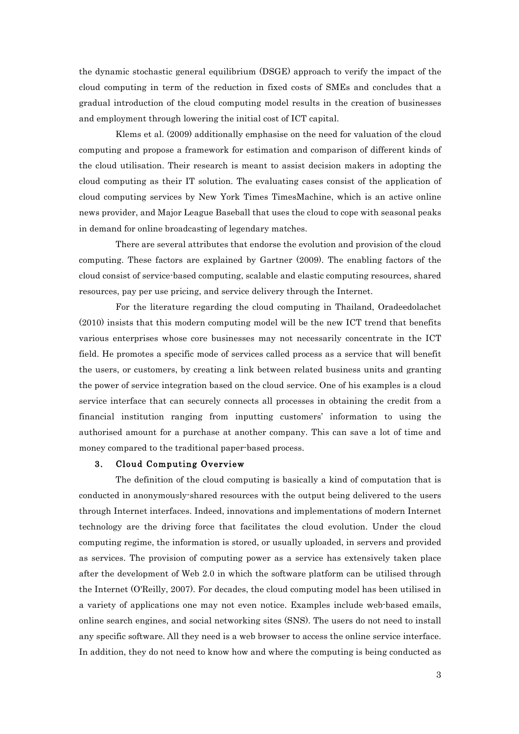the dynamic stochastic general equilibrium (DSGE) approach to verify the impact of the cloud computing in term of the reduction in fixed costs of SMEs and concludes that a gradual introduction of the cloud computing model results in the creation of businesses and employment through lowering the initial cost of ICT capital.

Klems et al. (2009) additionally emphasise on the need for valuation of the cloud computing and propose a framework for estimation and comparison of different kinds of the cloud utilisation. Their research is meant to assist decision makers in adopting the cloud computing as their IT solution. The evaluating cases consist of the application of cloud computing services by New York Times TimesMachine, which is an active online news provider, and Major League Baseball that uses the cloud to cope with seasonal peaks in demand for online broadcasting of legendary matches.

There are several attributes that endorse the evolution and provision of the cloud computing. These factors are explained by Gartner (2009). The enabling factors of the cloud consist of service-based computing, scalable and elastic computing resources, shared resources, pay per use pricing, and service delivery through the Internet.

For the literature regarding the cloud computing in Thailand, Oradeedolachet (2010) insists that this modern computing model will be the new ICT trend that benefits various enterprises whose core businesses may not necessarily concentrate in the ICT field. He promotes a specific mode of services called process as a service that will benefit the users, or customers, by creating a link between related business units and granting the power of service integration based on the cloud service. One of his examples is a cloud service interface that can securely connects all processes in obtaining the credit from a financial institution ranging from inputting customers' information to using the authorised amount for a purchase at another company. This can save a lot of time and money compared to the traditional paper-based process.

#### 3. Cloud Computing Overview

The definition of the cloud computing is basically a kind of computation that is conducted in anonymously-shared resources with the output being delivered to the users through Internet interfaces. Indeed, innovations and implementations of modern Internet technology are the driving force that facilitates the cloud evolution. Under the cloud computing regime, the information is stored, or usually uploaded, in servers and provided as services. The provision of computing power as a service has extensively taken place after the development of Web 2.0 in which the software platform can be utilised through the Internet (O'Reilly, 2007). For decades, the cloud computing model has been utilised in a variety of applications one may not even notice. Examples include web-based emails, online search engines, and social networking sites (SNS). The users do not need to install any specific software. All they need is a web browser to access the online service interface. In addition, they do not need to know how and where the computing is being conducted as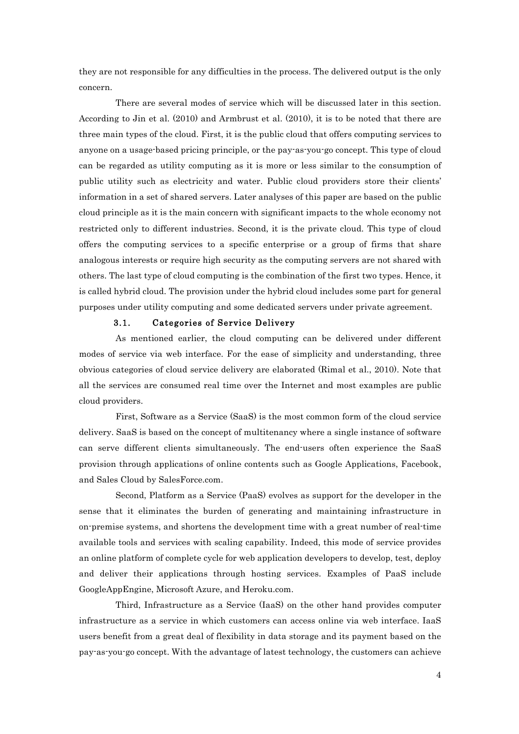they are not responsible for any difficulties in the process. The delivered output is the only concern.

There are several modes of service which will be discussed later in this section. According to Jin et al. (2010) and Armbrust et al. (2010), it is to be noted that there are three main types of the cloud. First, it is the public cloud that offers computing services to anyone on a usage-based pricing principle, or the pay-as-you-go concept. This type of cloud can be regarded as utility computing as it is more or less similar to the consumption of public utility such as electricity and water. Public cloud providers store their clients' information in a set of shared servers. Later analyses of this paper are based on the public cloud principle as it is the main concern with significant impacts to the whole economy not restricted only to different industries. Second, it is the private cloud. This type of cloud offers the computing services to a specific enterprise or a group of firms that share analogous interests or require high security as the computing servers are not shared with others. The last type of cloud computing is the combination of the first two types. Hence, it is called hybrid cloud. The provision under the hybrid cloud includes some part for general purposes under utility computing and some dedicated servers under private agreement.

#### 3.1. Categories of Service Delivery

As mentioned earlier, the cloud computing can be delivered under different modes of service via web interface. For the ease of simplicity and understanding, three obvious categories of cloud service delivery are elaborated (Rimal et al., 2010). Note that all the services are consumed real time over the Internet and most examples are public cloud providers.

First, Software as a Service (SaaS) is the most common form of the cloud service delivery. SaaS is based on the concept of multitenancy where a single instance of software can serve different clients simultaneously. The end-users often experience the SaaS provision through applications of online contents such as Google Applications, Facebook, and Sales Cloud by SalesForce.com.

Second, Platform as a Service (PaaS) evolves as support for the developer in the sense that it eliminates the burden of generating and maintaining infrastructure in on-premise systems, and shortens the development time with a great number of real-time available tools and services with scaling capability. Indeed, this mode of service provides an online platform of complete cycle for web application developers to develop, test, deploy and deliver their applications through hosting services. Examples of PaaS include GoogleAppEngine, Microsoft Azure, and Heroku.com.

Third, Infrastructure as a Service (IaaS) on the other hand provides computer infrastructure as a service in which customers can access online via web interface. IaaS users benefit from a great deal of flexibility in data storage and its payment based on the pay-as-you-go concept. With the advantage of latest technology, the customers can achieve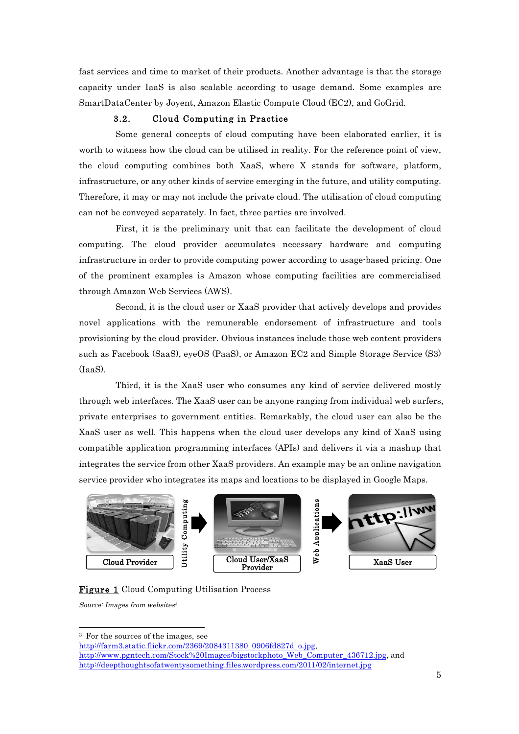fast services and time to market of their products. Another advantage is that the storage capacity under IaaS is also scalable according to usage demand. Some examples are SmartDataCenter by Joyent, Amazon Elastic Compute Cloud (EC2), and GoGrid.

#### 3.2. Cloud Computing in Practice

 Some general concepts of cloud computing have been elaborated earlier, it is worth to witness how the cloud can be utilised in reality. For the reference point of view, the cloud computing combines both XaaS, where X stands for software, platform, infrastructure, or any other kinds of service emerging in the future, and utility computing. Therefore, it may or may not include the private cloud. The utilisation of cloud computing can not be conveyed separately. In fact, three parties are involved.

First, it is the preliminary unit that can facilitate the development of cloud computing. The cloud provider accumulates necessary hardware and computing infrastructure in order to provide computing power according to usage-based pricing. One of the prominent examples is Amazon whose computing facilities are commercialised through Amazon Web Services (AWS).

Second, it is the cloud user or XaaS provider that actively develops and provides novel applications with the remunerable endorsement of infrastructure and tools provisioning by the cloud provider. Obvious instances include those web content providers such as Facebook (SaaS), eyeOS (PaaS), or Amazon EC2 and Simple Storage Service (S3) (IaaS).

Third, it is the XaaS user who consumes any kind of service delivered mostly through web interfaces. The XaaS user can be anyone ranging from individual web surfers, private enterprises to government entities. Remarkably, the cloud user can also be the XaaS user as well. This happens when the cloud user develops any kind of XaaS using compatible application programming interfaces (APIs) and delivers it via a mashup that integrates the service from other XaaS providers. An example may be an online navigation service provider who integrates its maps and locations to be displayed in Google Maps.



#### Figure 1 Cloud Computing Utilisation Process

Source: Images from websites<sup>3</sup>

 <sup>3</sup> For the sources of the images, see

http://farm3.static.flickr.com/2369/2084311380\_0906fd827d\_o.jpg, http://www.pgntech.com/Stock%20Images/bigstockphoto\_Web\_Computer\_436712.jpg, and http://deepthoughtsofatwentysomething.files.wordpress.com/2011/02/internet.jpg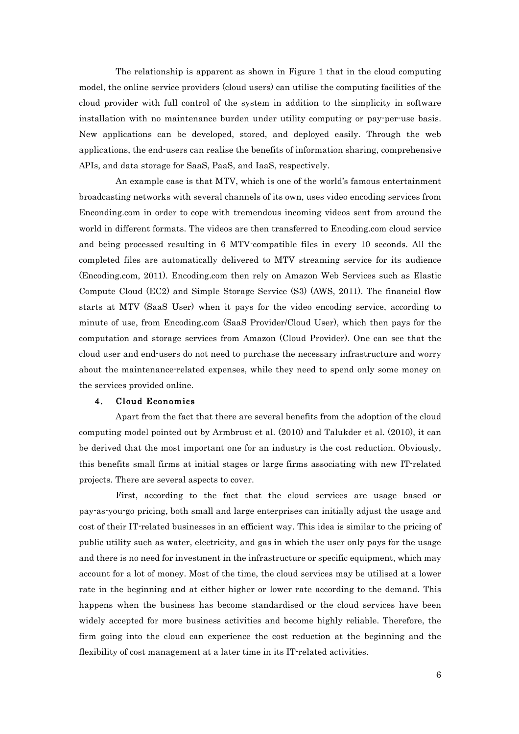The relationship is apparent as shown in Figure 1 that in the cloud computing model, the online service providers (cloud users) can utilise the computing facilities of the cloud provider with full control of the system in addition to the simplicity in software installation with no maintenance burden under utility computing or pay-per-use basis. New applications can be developed, stored, and deployed easily. Through the web applications, the end-users can realise the benefits of information sharing, comprehensive APIs, and data storage for SaaS, PaaS, and IaaS, respectively.

An example case is that MTV, which is one of the world's famous entertainment broadcasting networks with several channels of its own, uses video encoding services from Enconding.com in order to cope with tremendous incoming videos sent from around the world in different formats. The videos are then transferred to Encoding.com cloud service and being processed resulting in 6 MTV-compatible files in every 10 seconds. All the completed files are automatically delivered to MTV streaming service for its audience (Encoding.com, 2011). Encoding.com then rely on Amazon Web Services such as Elastic Compute Cloud (EC2) and Simple Storage Service (S3) (AWS, 2011). The financial flow starts at MTV (SaaS User) when it pays for the video encoding service, according to minute of use, from Encoding.com (SaaS Provider/Cloud User), which then pays for the computation and storage services from Amazon (Cloud Provider). One can see that the cloud user and end-users do not need to purchase the necessary infrastructure and worry about the maintenance-related expenses, while they need to spend only some money on the services provided online.

#### 4. Cloud Economics

Apart from the fact that there are several benefits from the adoption of the cloud computing model pointed out by Armbrust et al. (2010) and Talukder et al. (2010), it can be derived that the most important one for an industry is the cost reduction. Obviously, this benefits small firms at initial stages or large firms associating with new IT-related projects. There are several aspects to cover.

First, according to the fact that the cloud services are usage based or pay-as-you-go pricing, both small and large enterprises can initially adjust the usage and cost of their IT-related businesses in an efficient way. This idea is similar to the pricing of public utility such as water, electricity, and gas in which the user only pays for the usage and there is no need for investment in the infrastructure or specific equipment, which may account for a lot of money. Most of the time, the cloud services may be utilised at a lower rate in the beginning and at either higher or lower rate according to the demand. This happens when the business has become standardised or the cloud services have been widely accepted for more business activities and become highly reliable. Therefore, the firm going into the cloud can experience the cost reduction at the beginning and the flexibility of cost management at a later time in its IT-related activities.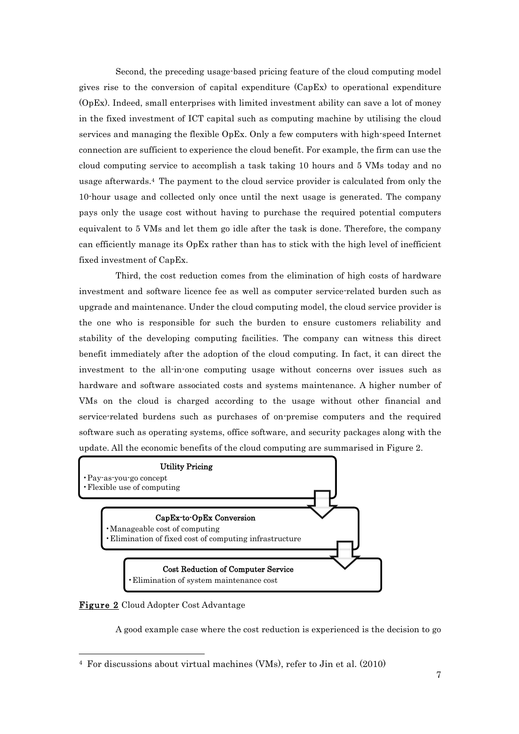Second, the preceding usage-based pricing feature of the cloud computing model gives rise to the conversion of capital expenditure (CapEx) to operational expenditure (OpEx). Indeed, small enterprises with limited investment ability can save a lot of money in the fixed investment of ICT capital such as computing machine by utilising the cloud services and managing the flexible OpEx. Only a few computers with high-speed Internet connection are sufficient to experience the cloud benefit. For example, the firm can use the cloud computing service to accomplish a task taking 10 hours and 5 VMs today and no usage afterwards.4 The payment to the cloud service provider is calculated from only the 10-hour usage and collected only once until the next usage is generated. The company pays only the usage cost without having to purchase the required potential computers equivalent to 5 VMs and let them go idle after the task is done. Therefore, the company can efficiently manage its OpEx rather than has to stick with the high level of inefficient fixed investment of CapEx.

Third, the cost reduction comes from the elimination of high costs of hardware investment and software licence fee as well as computer service-related burden such as upgrade and maintenance. Under the cloud computing model, the cloud service provider is the one who is responsible for such the burden to ensure customers reliability and stability of the developing computing facilities. The company can witness this direct benefit immediately after the adoption of the cloud computing. In fact, it can direct the investment to the all-in-one computing usage without concerns over issues such as hardware and software associated costs and systems maintenance. A higher number of VMs on the cloud is charged according to the usage without other financial and service-related burdens such as purchases of on-premise computers and the required software such as operating systems, office software, and security packages along with the update. All the economic benefits of the cloud computing are summarised in Figure 2.



## Figure 2 Cloud Adopter Cost Advantage

 $\overline{a}$ 

A good example case where the cost reduction is experienced is the decision to go

<sup>4</sup> For discussions about virtual machines (VMs), refer to Jin et al. (2010)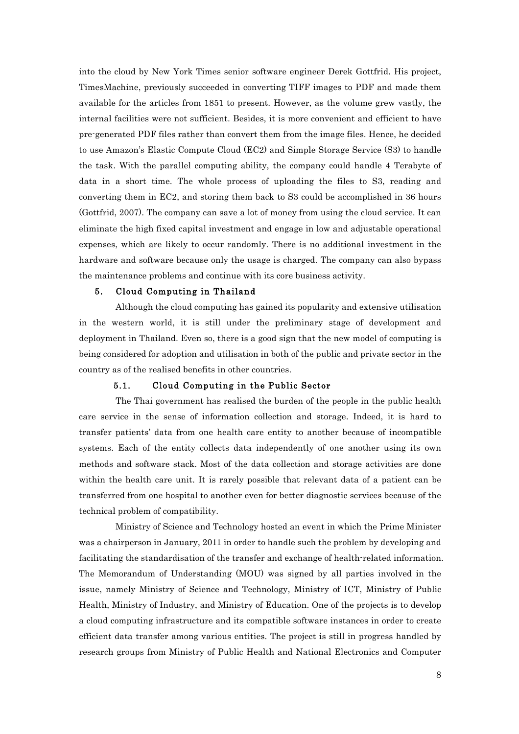into the cloud by New York Times senior software engineer Derek Gottfrid. His project, TimesMachine, previously succeeded in converting TIFF images to PDF and made them available for the articles from 1851 to present. However, as the volume grew vastly, the internal facilities were not sufficient. Besides, it is more convenient and efficient to have pre-generated PDF files rather than convert them from the image files. Hence, he decided to use Amazon's Elastic Compute Cloud (EC2) and Simple Storage Service (S3) to handle the task. With the parallel computing ability, the company could handle 4 Terabyte of data in a short time. The whole process of uploading the files to S3, reading and converting them in EC2, and storing them back to S3 could be accomplished in 36 hours (Gottfrid, 2007). The company can save a lot of money from using the cloud service. It can eliminate the high fixed capital investment and engage in low and adjustable operational expenses, which are likely to occur randomly. There is no additional investment in the hardware and software because only the usage is charged. The company can also bypass the maintenance problems and continue with its core business activity.

#### 5. Cloud Computing in Thailand

Although the cloud computing has gained its popularity and extensive utilisation in the western world, it is still under the preliminary stage of development and deployment in Thailand. Even so, there is a good sign that the new model of computing is being considered for adoption and utilisation in both of the public and private sector in the country as of the realised benefits in other countries.

#### 5.1. Cloud Computing in the Public Sector

The Thai government has realised the burden of the people in the public health care service in the sense of information collection and storage. Indeed, it is hard to transfer patients' data from one health care entity to another because of incompatible systems. Each of the entity collects data independently of one another using its own methods and software stack. Most of the data collection and storage activities are done within the health care unit. It is rarely possible that relevant data of a patient can be transferred from one hospital to another even for better diagnostic services because of the technical problem of compatibility.

Ministry of Science and Technology hosted an event in which the Prime Minister was a chairperson in January, 2011 in order to handle such the problem by developing and facilitating the standardisation of the transfer and exchange of health-related information. The Memorandum of Understanding (MOU) was signed by all parties involved in the issue, namely Ministry of Science and Technology, Ministry of ICT, Ministry of Public Health, Ministry of Industry, and Ministry of Education. One of the projects is to develop a cloud computing infrastructure and its compatible software instances in order to create efficient data transfer among various entities. The project is still in progress handled by research groups from Ministry of Public Health and National Electronics and Computer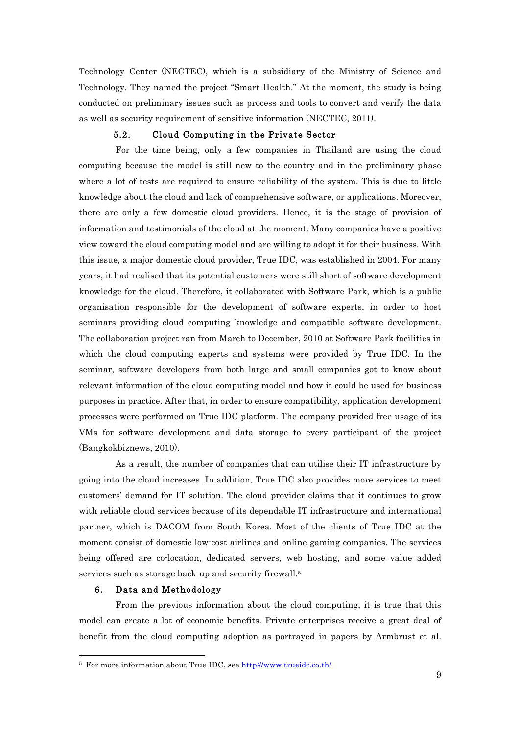Technology Center (NECTEC), which is a subsidiary of the Ministry of Science and Technology. They named the project "Smart Health." At the moment, the study is being conducted on preliminary issues such as process and tools to convert and verify the data as well as security requirement of sensitive information (NECTEC, 2011).

#### 5.2. Cloud Computing in the Private Sector

For the time being, only a few companies in Thailand are using the cloud computing because the model is still new to the country and in the preliminary phase where a lot of tests are required to ensure reliability of the system. This is due to little knowledge about the cloud and lack of comprehensive software, or applications. Moreover, there are only a few domestic cloud providers. Hence, it is the stage of provision of information and testimonials of the cloud at the moment. Many companies have a positive view toward the cloud computing model and are willing to adopt it for their business. With this issue, a major domestic cloud provider, True IDC, was established in 2004. For many years, it had realised that its potential customers were still short of software development knowledge for the cloud. Therefore, it collaborated with Software Park, which is a public organisation responsible for the development of software experts, in order to host seminars providing cloud computing knowledge and compatible software development. The collaboration project ran from March to December, 2010 at Software Park facilities in which the cloud computing experts and systems were provided by True IDC. In the seminar, software developers from both large and small companies got to know about relevant information of the cloud computing model and how it could be used for business purposes in practice. After that, in order to ensure compatibility, application development processes were performed on True IDC platform. The company provided free usage of its VMs for software development and data storage to every participant of the project (Bangkokbiznews, 2010).

As a result, the number of companies that can utilise their IT infrastructure by going into the cloud increases. In addition, True IDC also provides more services to meet customers' demand for IT solution. The cloud provider claims that it continues to grow with reliable cloud services because of its dependable IT infrastructure and international partner, which is DACOM from South Korea. Most of the clients of True IDC at the moment consist of domestic low-cost airlines and online gaming companies. The services being offered are co-location, dedicated servers, web hosting, and some value added services such as storage back-up and security firewall.<sup>5</sup>

#### 6. Data and Methodology

From the previous information about the cloud computing, it is true that this model can create a lot of economic benefits. Private enterprises receive a great deal of benefit from the cloud computing adoption as portrayed in papers by Armbrust et al.

 <sup>5</sup> For more information about True IDC, see http://www.trueidc.co.th/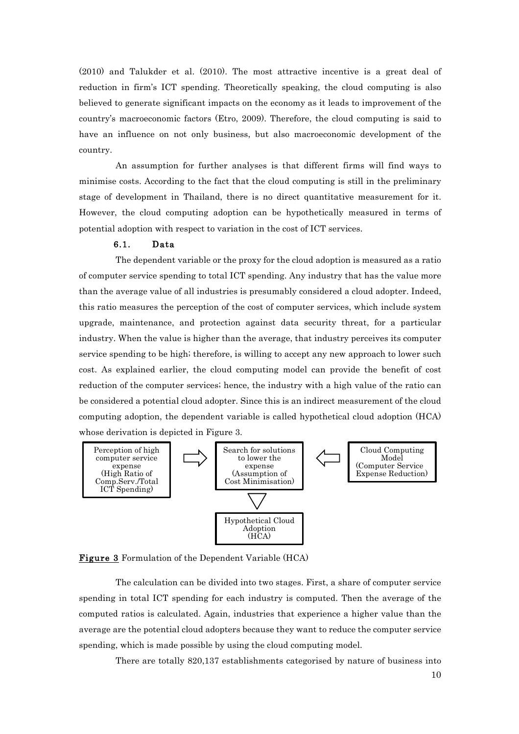(2010) and Talukder et al. (2010). The most attractive incentive is a great deal of reduction in firm's ICT spending. Theoretically speaking, the cloud computing is also believed to generate significant impacts on the economy as it leads to improvement of the country's macroeconomic factors (Etro, 2009). Therefore, the cloud computing is said to have an influence on not only business, but also macroeconomic development of the country.

An assumption for further analyses is that different firms will find ways to minimise costs. According to the fact that the cloud computing is still in the preliminary stage of development in Thailand, there is no direct quantitative measurement for it. However, the cloud computing adoption can be hypothetically measured in terms of potential adoption with respect to variation in the cost of ICT services.

#### 6.1. Data

The dependent variable or the proxy for the cloud adoption is measured as a ratio of computer service spending to total ICT spending. Any industry that has the value more than the average value of all industries is presumably considered a cloud adopter. Indeed, this ratio measures the perception of the cost of computer services, which include system upgrade, maintenance, and protection against data security threat, for a particular industry. When the value is higher than the average, that industry perceives its computer service spending to be high; therefore, is willing to accept any new approach to lower such cost. As explained earlier, the cloud computing model can provide the benefit of cost reduction of the computer services; hence, the industry with a high value of the ratio can be considered a potential cloud adopter. Since this is an indirect measurement of the cloud computing adoption, the dependent variable is called hypothetical cloud adoption (HCA) whose derivation is depicted in Figure 3.



Figure 3 Formulation of the Dependent Variable (HCA)

The calculation can be divided into two stages. First, a share of computer service spending in total ICT spending for each industry is computed. Then the average of the computed ratios is calculated. Again, industries that experience a higher value than the average are the potential cloud adopters because they want to reduce the computer service spending, which is made possible by using the cloud computing model.

There are totally 820,137 establishments categorised by nature of business into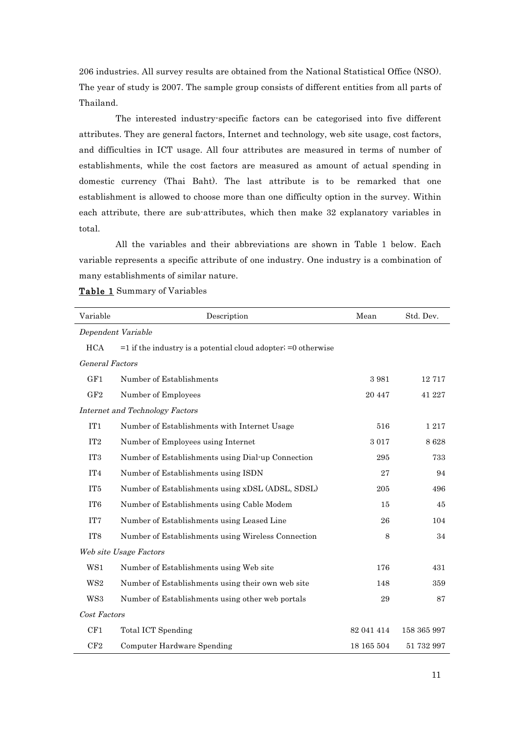206 industries. All survey results are obtained from the National Statistical Office (NSO). The year of study is 2007. The sample group consists of different entities from all parts of Thailand.

The interested industry-specific factors can be categorised into five different attributes. They are general factors, Internet and technology, web site usage, cost factors, and difficulties in ICT usage. All four attributes are measured in terms of number of establishments, while the cost factors are measured as amount of actual spending in domestic currency (Thai Baht). The last attribute is to be remarked that one establishment is allowed to choose more than one difficulty option in the survey. Within each attribute, there are sub-attributes, which then make 32 explanatory variables in total.

All the variables and their abbreviations are shown in Table 1 below. Each variable represents a specific attribute of one industry. One industry is a combination of many establishments of similar nature.

|  |  | <b>Table 1</b> Summary of Variables |
|--|--|-------------------------------------|
|--|--|-------------------------------------|

| Variable                               | Description                                                       | Mean       | Std. Dev.   |  |
|----------------------------------------|-------------------------------------------------------------------|------------|-------------|--|
|                                        | Dependent Variable                                                |            |             |  |
| <b>HCA</b>                             | $=1$ if the industry is a potential cloud adopter; $=0$ otherwise |            |             |  |
| <b>General Factors</b>                 |                                                                   |            |             |  |
| GF1                                    | Number of Establishments                                          | 3981       | 12717       |  |
| GF <sub>2</sub>                        | Number of Employees                                               | 20 447     | 41 227      |  |
| <b>Internet and Technology Factors</b> |                                                                   |            |             |  |
| IT <sub>1</sub>                        | Number of Establishments with Internet Usage                      | 516        | 1217        |  |
| IT <sub>2</sub>                        | Number of Employees using Internet                                | 3017       | 8628        |  |
| IT <sub>3</sub>                        | Number of Establishments using Dial-up Connection                 | 295        | 733         |  |
| IT <sub>4</sub>                        | Number of Establishments using ISDN                               | 27         | 94          |  |
| IT5                                    | Number of Establishments using xDSL (ADSL, SDSL)                  | 205        | 496         |  |
| IT <sub>6</sub>                        | Number of Establishments using Cable Modem                        | 15         | 45          |  |
| IT7                                    | Number of Establishments using Leased Line                        | 26         | 104         |  |
| IT <sub>8</sub>                        | Number of Establishments using Wireless Connection                | 8          | 34          |  |
| Web site Usage Factors                 |                                                                   |            |             |  |
| WS1                                    | Number of Establishments using Web site                           | 176        | 431         |  |
| WS <sub>2</sub>                        | Number of Establishments using their own web site                 | 148        | 359         |  |
| WS3                                    | Number of Establishments using other web portals                  | 29         | 87          |  |
| Cost Factors                           |                                                                   |            |             |  |
| CF1                                    | <b>Total ICT Spending</b>                                         | 82 041 414 | 158 365 997 |  |
| CF2                                    | Computer Hardware Spending                                        | 18 165 504 | 51 732 997  |  |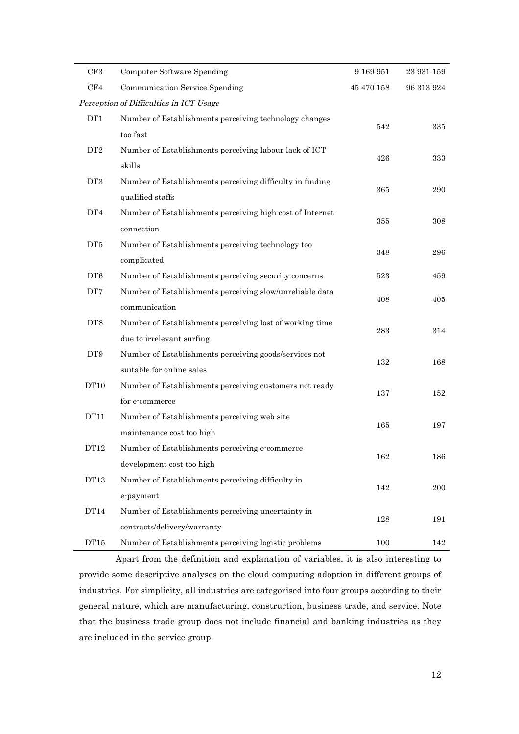| CF <sub>3</sub>  | Computer Software Spending                                | 9 169 951      | 23 931 159 |
|------------------|-----------------------------------------------------------|----------------|------------|
| CF4              | Communication Service Spending                            | $45\;470\;158$ | 96 313 924 |
|                  | Perception of Difficulties in ICT Usage                   |                |            |
| DT1              | Number of Establishments perceiving technology changes    |                |            |
|                  | too fast                                                  | 542            | 335        |
| DT2              | Number of Establishments perceiving labour lack of ICT    |                |            |
|                  | skills                                                    | 426            | 333        |
| DT3              | Number of Establishments perceiving difficulty in finding |                | 290        |
|                  | qualified staffs                                          | 365            |            |
| DT4              | Number of Establishments perceiving high cost of Internet | 355            | 308        |
|                  | connection                                                |                |            |
| $\rm{DT5}$       | Number of Establishments perceiving technology too        | 348            | 296        |
|                  | complicated                                               |                |            |
| DT <sub>6</sub>  | Number of Establishments perceiving security concerns     | 523            | 459        |
| DT7              | Number of Establishments perceiving slow/unreliable data  | 408            | 405        |
|                  | communication                                             |                |            |
| DT8              | Number of Establishments perceiving lost of working time  | 283            | $314\,$    |
|                  | due to irrelevant surfing                                 |                |            |
| DT9              | Number of Establishments perceiving goods/services not    | 132            | 168        |
|                  | suitable for online sales                                 |                |            |
| DT <sub>10</sub> | Number of Establishments perceiving customers not ready   | 137            | 152        |
|                  | for e-commerce                                            |                |            |
| DT <sub>11</sub> | Number of Establishments perceiving web site              | 165            | 197        |
|                  | maintenance cost too high                                 |                |            |
| DT12             | Number of Establishments perceiving e-commerce            | $162\,$        | 186        |
|                  | development cost too high                                 |                |            |
| DT13             | Number of Establishments perceiving difficulty in         | 142            | 200        |
|                  | e-payment                                                 |                |            |
| DT14             | Number of Establishments perceiving uncertainty in        | 128            | 191        |
|                  | contracts/delivery/warranty                               |                |            |
| DT15             | Number of Establishments perceiving logistic problems     | 100            | 142        |

Apart from the definition and explanation of variables, it is also interesting to provide some descriptive analyses on the cloud computing adoption in different groups of industries. For simplicity, all industries are categorised into four groups according to their general nature, which are manufacturing, construction, business trade, and service. Note that the business trade group does not include financial and banking industries as they are included in the service group.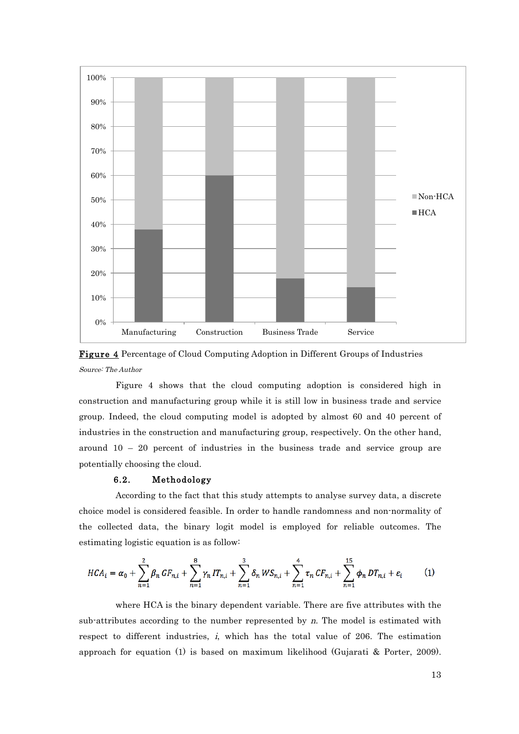

Figure 4 Percentage of Cloud Computing Adoption in Different Groups of Industries Source: The Author

Figure 4 shows that the cloud computing adoption is considered high in construction and manufacturing group while it is still low in business trade and service group. Indeed, the cloud computing model is adopted by almost 60 and 40 percent of industries in the construction and manufacturing group, respectively. On the other hand, around 10 – 20 percent of industries in the business trade and service group are potentially choosing the cloud.

#### 6.2. Methodology

According to the fact that this study attempts to analyse survey data, a discrete choice model is considered feasible. In order to handle randomness and non-normality of the collected data, the binary logit model is employed for reliable outcomes. The estimating logistic equation is as follow:

$$
HCA_i = \alpha_0 + \sum_{n=1}^{2} \beta_n \, GF_{n,i} + \sum_{n=1}^{8} \gamma_n \, IT_{n,i} + \sum_{n=1}^{3} \delta_n \, WS_{n,i} + \sum_{n=1}^{4} \tau_n \, CF_{n,i} + \sum_{n=1}^{15} \phi_n \, DT_{n,i} + \varepsilon_i \tag{1}
$$

where HCA is the binary dependent variable. There are five attributes with the sub-attributes according to the number represented by  $n$ . The model is estimated with respect to different industries, i, which has the total value of 206. The estimation approach for equation (1) is based on maximum likelihood (Gujarati & Porter, 2009).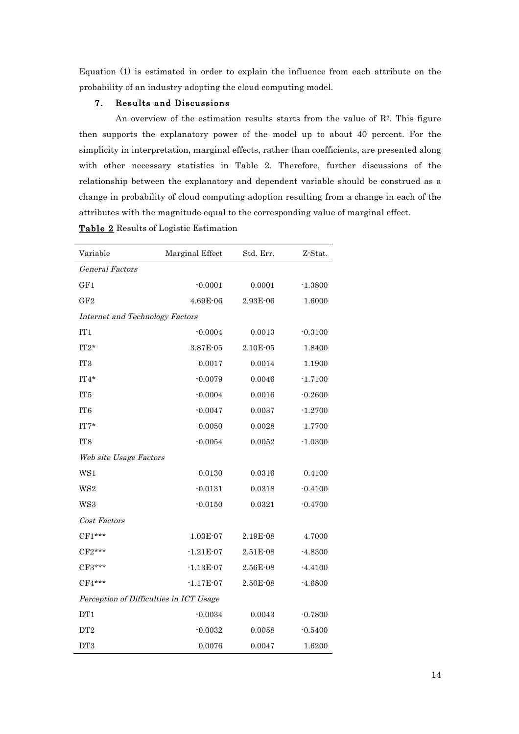Equation (1) is estimated in order to explain the influence from each attribute on the probability of an industry adopting the cloud computing model.

#### 7. Results and Discussions

An overview of the estimation results starts from the value of  $\mathbb{R}^2$ . This figure then supports the explanatory power of the model up to about 40 percent. For the simplicity in interpretation, marginal effects, rather than coefficients, are presented along with other necessary statistics in Table 2. Therefore, further discussions of the relationship between the explanatory and dependent variable should be construed as a change in probability of cloud computing adoption resulting from a change in each of the attributes with the magnitude equal to the corresponding value of marginal effect.

| Variable                                | Marginal Effect | Std. Err.  | Z-Stat.   |  |
|-----------------------------------------|-----------------|------------|-----------|--|
| General Factors                         |                 |            |           |  |
| GF1                                     | $-0.0001$       | 0.0001     | $-1.3800$ |  |
| GF <sub>2</sub>                         | 4.69E-06        | $2.93E-06$ | 1.6000    |  |
| Internet and Technology Factors         |                 |            |           |  |
| IT <sub>1</sub>                         | $-0.0004$       | 0.0013     | $-0.3100$ |  |
| $IT2*$                                  | 3.87E-05        | 2.10E-05   | 1.8400    |  |
| IT3                                     | 0.0017          | 0.0014     | 1.1900    |  |
| $IT4*$                                  | $-0.0079$       | 0.0046     | $-1.7100$ |  |
| IT <sub>5</sub>                         | $-0.0004$       | 0.0016     | $-0.2600$ |  |
| IT <sub>6</sub>                         | $-0.0047$       | 0.0037     | $-1.2700$ |  |
| $\mathrm{IT}7^{\star}$                  | 0.0050          | 0.0028     | 1.7700    |  |
| IT <sub>8</sub>                         | $-0.0054$       | 0.0052     | $-1.0300$ |  |
| Web site Usage Factors                  |                 |            |           |  |
| WS1                                     | 0.0130          | 0.0316     | 0.4100    |  |
| WS <sub>2</sub>                         | $-0.0131$       | 0.0318     | $-0.4100$ |  |
| WS3                                     | $-0.0150$       | 0.0321     | $-0.4700$ |  |
| Cost Factors                            |                 |            |           |  |
| $CF1***$                                | 1.03E-07        | 2.19E-08   | 4.7000    |  |
| $CF2***$                                | $-1.21E-07$     | 2.51E-08   | $-4.8300$ |  |
| $CF3***$                                | $-1.13E-07$     | 2.56E-08   | $-4.4100$ |  |
| $CF4***$                                | $-1.17E-07$     | 2.50E-08   | $-4.6800$ |  |
| Perception of Difficulties in ICT Usage |                 |            |           |  |
| DT <sub>1</sub>                         | $-0.0034$       | 0.0043     | $-0.7800$ |  |
| DT <sub>2</sub>                         | $-0.0032$       | 0.0058     | $-0.5400$ |  |
| DT3                                     | 0.0076          | 0.0047     | 1.6200    |  |

Table 2 Results of Logistic Estimation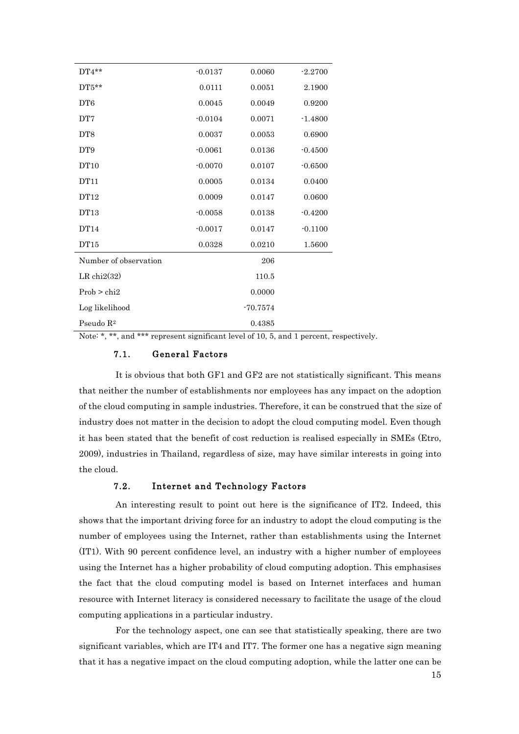| $DT4**$               | $-0.0137$ | 0.0060     | $-2.2700$ |
|-----------------------|-----------|------------|-----------|
| $DT5**$               | 0.0111    | 0.0051     | 2.1900    |
| DT <sub>6</sub>       | 0.0045    | 0.0049     | 0.9200    |
| DT7                   | $-0.0104$ | 0.0071     | $-1.4800$ |
| DT <sub>8</sub>       | 0.0037    | 0.0053     | 0.6900    |
| DT9                   | $-0.0061$ | 0.0136     | $-0.4500$ |
| DT10                  | $-0.0070$ | 0.0107     | $-0.6500$ |
| DT11                  | 0.0005    | 0.0134     | 0.0400    |
| DT12                  | 0.0009    | 0.0147     | 0.0600    |
| DT13                  | $-0.0058$ | 0.0138     | $-0.4200$ |
| DT14                  | $-0.0017$ | 0.0147     | $-0.1100$ |
| DT <sub>15</sub>      | 0.0328    | 0.0210     | 1.5600    |
| Number of observation |           | 206        |           |
| LR $chi(32)$          |           | 110.5      |           |
| Prob > chi2           |           | 0.0000     |           |
| Log likelihood        |           | $-70.7574$ |           |
| Pseudo $R^2$          |           | 0.4385     |           |

Note: \*, \*\*, and \*\*\* represent significant level of 10, 5, and 1 percent, respectively.

#### 7.1. General Factors

It is obvious that both GF1 and GF2 are not statistically significant. This means that neither the number of establishments nor employees has any impact on the adoption of the cloud computing in sample industries. Therefore, it can be construed that the size of industry does not matter in the decision to adopt the cloud computing model. Even though it has been stated that the benefit of cost reduction is realised especially in SMEs (Etro, 2009), industries in Thailand, regardless of size, may have similar interests in going into the cloud.

#### 7.2. Internet and Technology Factors

An interesting result to point out here is the significance of IT2. Indeed, this shows that the important driving force for an industry to adopt the cloud computing is the number of employees using the Internet, rather than establishments using the Internet (IT1). With 90 percent confidence level, an industry with a higher number of employees using the Internet has a higher probability of cloud computing adoption. This emphasises the fact that the cloud computing model is based on Internet interfaces and human resource with Internet literacy is considered necessary to facilitate the usage of the cloud computing applications in a particular industry.

For the technology aspect, one can see that statistically speaking, there are two significant variables, which are IT4 and IT7. The former one has a negative sign meaning that it has a negative impact on the cloud computing adoption, while the latter one can be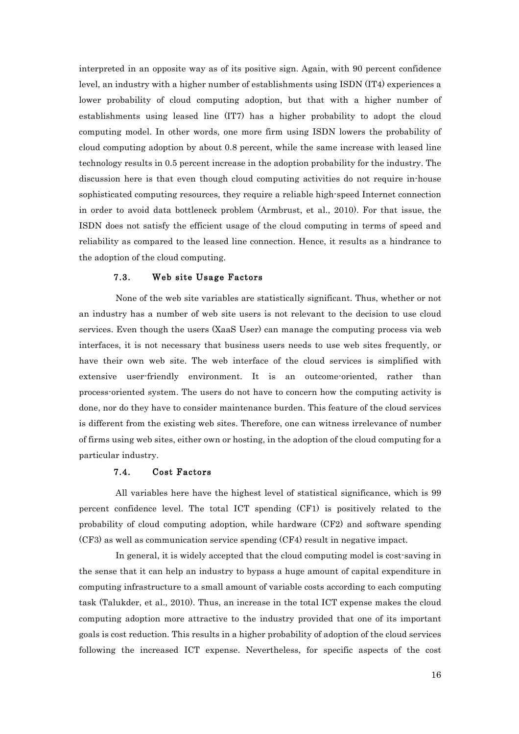interpreted in an opposite way as of its positive sign. Again, with 90 percent confidence level, an industry with a higher number of establishments using ISDN (IT4) experiences a lower probability of cloud computing adoption, but that with a higher number of establishments using leased line (IT7) has a higher probability to adopt the cloud computing model. In other words, one more firm using ISDN lowers the probability of cloud computing adoption by about 0.8 percent, while the same increase with leased line technology results in 0.5 percent increase in the adoption probability for the industry. The discussion here is that even though cloud computing activities do not require in-house sophisticated computing resources, they require a reliable high-speed Internet connection in order to avoid data bottleneck problem (Armbrust, et al., 2010). For that issue, the ISDN does not satisfy the efficient usage of the cloud computing in terms of speed and reliability as compared to the leased line connection. Hence, it results as a hindrance to the adoption of the cloud computing.

#### 7.3. Web site Usage Factors

None of the web site variables are statistically significant. Thus, whether or not an industry has a number of web site users is not relevant to the decision to use cloud services. Even though the users (XaaS User) can manage the computing process via web interfaces, it is not necessary that business users needs to use web sites frequently, or have their own web site. The web interface of the cloud services is simplified with extensive user-friendly environment. It is an outcome-oriented, rather than process-oriented system. The users do not have to concern how the computing activity is done, nor do they have to consider maintenance burden. This feature of the cloud services is different from the existing web sites. Therefore, one can witness irrelevance of number of firms using web sites, either own or hosting, in the adoption of the cloud computing for a particular industry.

# 7.4. Cost Factors

 All variables here have the highest level of statistical significance, which is 99 percent confidence level. The total ICT spending (CF1) is positively related to the probability of cloud computing adoption, while hardware (CF2) and software spending (CF3) as well as communication service spending (CF4) result in negative impact.

In general, it is widely accepted that the cloud computing model is cost-saving in the sense that it can help an industry to bypass a huge amount of capital expenditure in computing infrastructure to a small amount of variable costs according to each computing task (Talukder, et al., 2010). Thus, an increase in the total ICT expense makes the cloud computing adoption more attractive to the industry provided that one of its important goals is cost reduction. This results in a higher probability of adoption of the cloud services following the increased ICT expense. Nevertheless, for specific aspects of the cost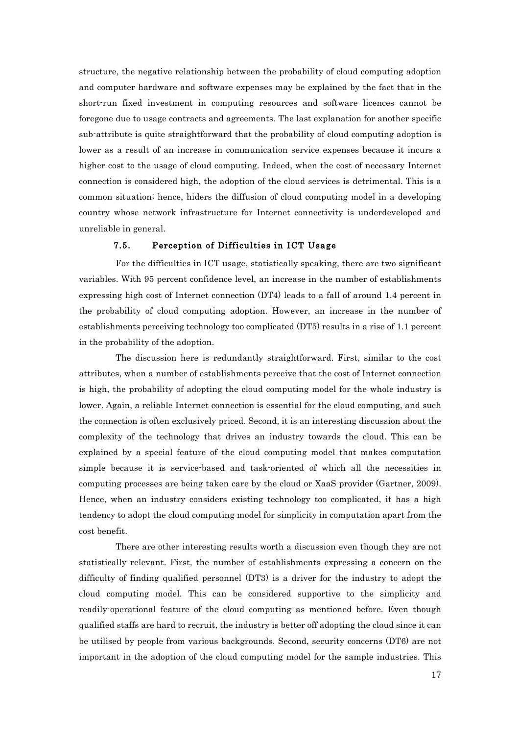structure, the negative relationship between the probability of cloud computing adoption and computer hardware and software expenses may be explained by the fact that in the short-run fixed investment in computing resources and software licences cannot be foregone due to usage contracts and agreements. The last explanation for another specific sub-attribute is quite straightforward that the probability of cloud computing adoption is lower as a result of an increase in communication service expenses because it incurs a higher cost to the usage of cloud computing. Indeed, when the cost of necessary Internet connection is considered high, the adoption of the cloud services is detrimental. This is a common situation; hence, hiders the diffusion of cloud computing model in a developing country whose network infrastructure for Internet connectivity is underdeveloped and unreliable in general.

#### 7.5. Perception of Difficulties in ICT Usage

For the difficulties in ICT usage, statistically speaking, there are two significant variables. With 95 percent confidence level, an increase in the number of establishments expressing high cost of Internet connection (DT4) leads to a fall of around 1.4 percent in the probability of cloud computing adoption. However, an increase in the number of establishments perceiving technology too complicated (DT5) results in a rise of 1.1 percent in the probability of the adoption.

The discussion here is redundantly straightforward. First, similar to the cost attributes, when a number of establishments perceive that the cost of Internet connection is high, the probability of adopting the cloud computing model for the whole industry is lower. Again, a reliable Internet connection is essential for the cloud computing, and such the connection is often exclusively priced. Second, it is an interesting discussion about the complexity of the technology that drives an industry towards the cloud. This can be explained by a special feature of the cloud computing model that makes computation simple because it is service-based and task-oriented of which all the necessities in computing processes are being taken care by the cloud or XaaS provider (Gartner, 2009). Hence, when an industry considers existing technology too complicated, it has a high tendency to adopt the cloud computing model for simplicity in computation apart from the cost benefit.

There are other interesting results worth a discussion even though they are not statistically relevant. First, the number of establishments expressing a concern on the difficulty of finding qualified personnel (DT3) is a driver for the industry to adopt the cloud computing model. This can be considered supportive to the simplicity and readily-operational feature of the cloud computing as mentioned before. Even though qualified staffs are hard to recruit, the industry is better off adopting the cloud since it can be utilised by people from various backgrounds. Second, security concerns (DT6) are not important in the adoption of the cloud computing model for the sample industries. This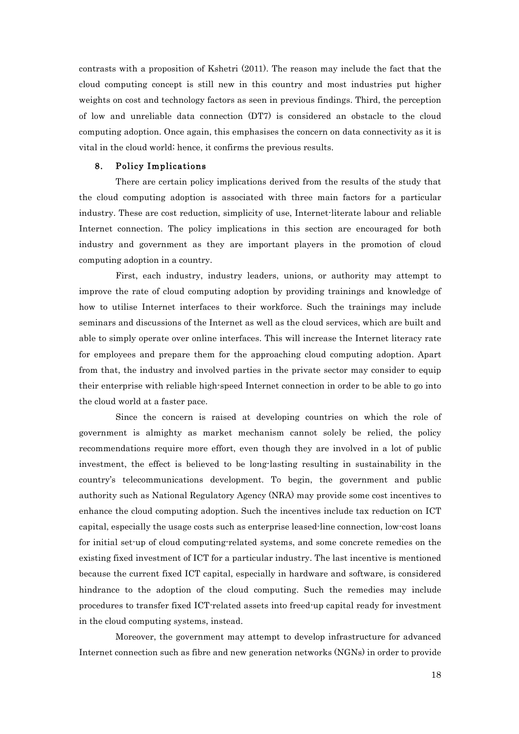contrasts with a proposition of Kshetri (2011). The reason may include the fact that the cloud computing concept is still new in this country and most industries put higher weights on cost and technology factors as seen in previous findings. Third, the perception of low and unreliable data connection (DT7) is considered an obstacle to the cloud computing adoption. Once again, this emphasises the concern on data connectivity as it is vital in the cloud world; hence, it confirms the previous results.

#### 8. Policy Implications

There are certain policy implications derived from the results of the study that the cloud computing adoption is associated with three main factors for a particular industry. These are cost reduction, simplicity of use, Internet-literate labour and reliable Internet connection. The policy implications in this section are encouraged for both industry and government as they are important players in the promotion of cloud computing adoption in a country.

First, each industry, industry leaders, unions, or authority may attempt to improve the rate of cloud computing adoption by providing trainings and knowledge of how to utilise Internet interfaces to their workforce. Such the trainings may include seminars and discussions of the Internet as well as the cloud services, which are built and able to simply operate over online interfaces. This will increase the Internet literacy rate for employees and prepare them for the approaching cloud computing adoption. Apart from that, the industry and involved parties in the private sector may consider to equip their enterprise with reliable high-speed Internet connection in order to be able to go into the cloud world at a faster pace.

Since the concern is raised at developing countries on which the role of government is almighty as market mechanism cannot solely be relied, the policy recommendations require more effort, even though they are involved in a lot of public investment, the effect is believed to be long-lasting resulting in sustainability in the country's telecommunications development. To begin, the government and public authority such as National Regulatory Agency (NRA) may provide some cost incentives to enhance the cloud computing adoption. Such the incentives include tax reduction on ICT capital, especially the usage costs such as enterprise leased-line connection, low-cost loans for initial set-up of cloud computing-related systems, and some concrete remedies on the existing fixed investment of ICT for a particular industry. The last incentive is mentioned because the current fixed ICT capital, especially in hardware and software, is considered hindrance to the adoption of the cloud computing. Such the remedies may include procedures to transfer fixed ICT-related assets into freed-up capital ready for investment in the cloud computing systems, instead.

Moreover, the government may attempt to develop infrastructure for advanced Internet connection such as fibre and new generation networks (NGNs) in order to provide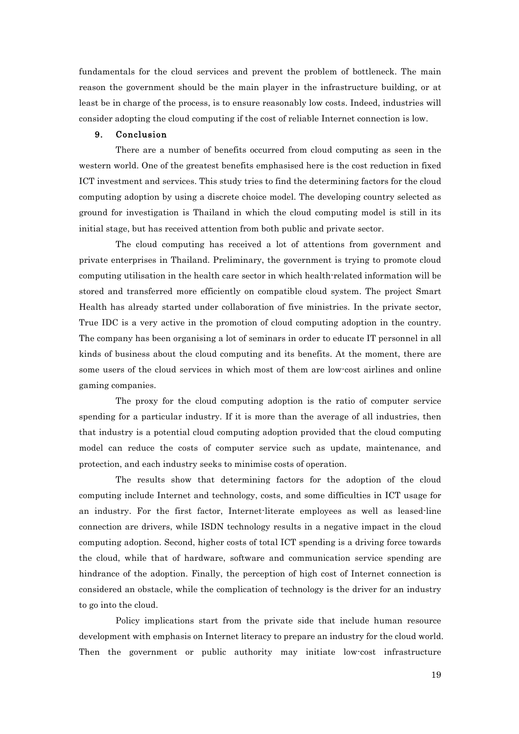fundamentals for the cloud services and prevent the problem of bottleneck. The main reason the government should be the main player in the infrastructure building, or at least be in charge of the process, is to ensure reasonably low costs. Indeed, industries will consider adopting the cloud computing if the cost of reliable Internet connection is low.

#### 9. Conclusion

There are a number of benefits occurred from cloud computing as seen in the western world. One of the greatest benefits emphasised here is the cost reduction in fixed ICT investment and services. This study tries to find the determining factors for the cloud computing adoption by using a discrete choice model. The developing country selected as ground for investigation is Thailand in which the cloud computing model is still in its initial stage, but has received attention from both public and private sector.

The cloud computing has received a lot of attentions from government and private enterprises in Thailand. Preliminary, the government is trying to promote cloud computing utilisation in the health care sector in which health-related information will be stored and transferred more efficiently on compatible cloud system. The project Smart Health has already started under collaboration of five ministries. In the private sector, True IDC is a very active in the promotion of cloud computing adoption in the country. The company has been organising a lot of seminars in order to educate IT personnel in all kinds of business about the cloud computing and its benefits. At the moment, there are some users of the cloud services in which most of them are low-cost airlines and online gaming companies.

The proxy for the cloud computing adoption is the ratio of computer service spending for a particular industry. If it is more than the average of all industries, then that industry is a potential cloud computing adoption provided that the cloud computing model can reduce the costs of computer service such as update, maintenance, and protection, and each industry seeks to minimise costs of operation.

The results show that determining factors for the adoption of the cloud computing include Internet and technology, costs, and some difficulties in ICT usage for an industry. For the first factor, Internet-literate employees as well as leased-line connection are drivers, while ISDN technology results in a negative impact in the cloud computing adoption. Second, higher costs of total ICT spending is a driving force towards the cloud, while that of hardware, software and communication service spending are hindrance of the adoption. Finally, the perception of high cost of Internet connection is considered an obstacle, while the complication of technology is the driver for an industry to go into the cloud.

Policy implications start from the private side that include human resource development with emphasis on Internet literacy to prepare an industry for the cloud world. Then the government or public authority may initiate low-cost infrastructure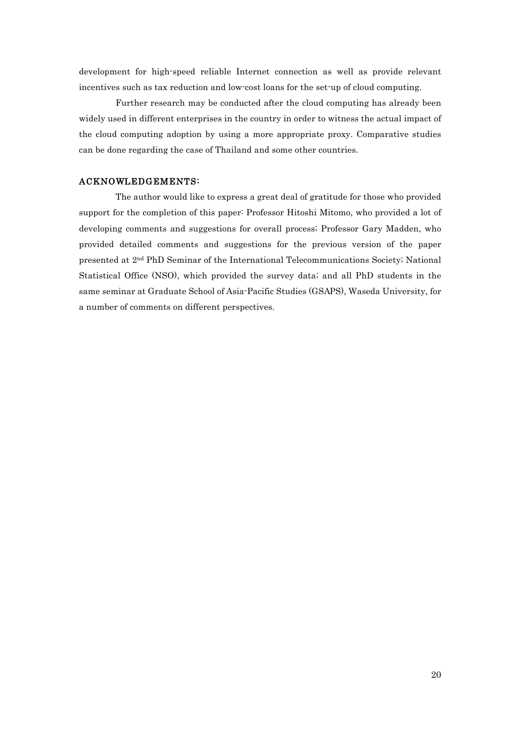development for high-speed reliable Internet connection as well as provide relevant incentives such as tax reduction and low-cost loans for the set-up of cloud computing.

Further research may be conducted after the cloud computing has already been widely used in different enterprises in the country in order to witness the actual impact of the cloud computing adoption by using a more appropriate proxy. Comparative studies can be done regarding the case of Thailand and some other countries.

#### ACKNOWLEDGEMENTS:

The author would like to express a great deal of gratitude for those who provided support for the completion of this paper: Professor Hitoshi Mitomo, who provided a lot of developing comments and suggestions for overall process; Professor Gary Madden, who provided detailed comments and suggestions for the previous version of the paper presented at 2nd PhD Seminar of the International Telecommunications Society; National Statistical Office (NSO), which provided the survey data; and all PhD students in the same seminar at Graduate School of Asia-Pacific Studies (GSAPS), Waseda University, for a number of comments on different perspectives.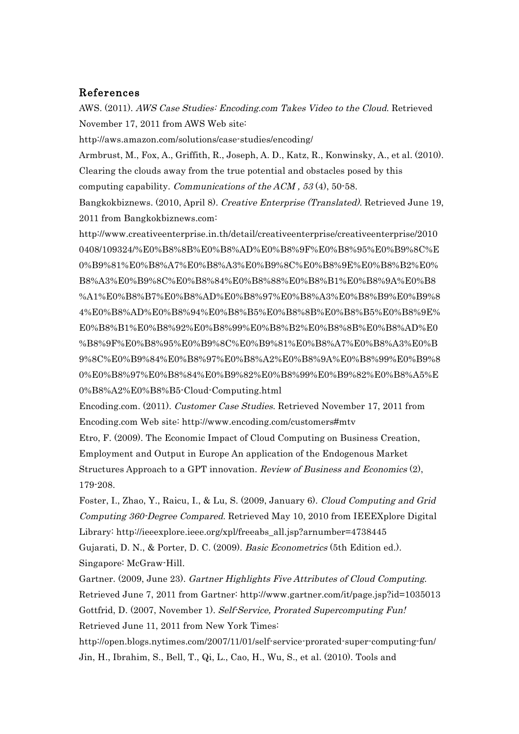## References

AWS. (2011). AWS Case Studies: Encoding.com Takes Video to the Cloud. Retrieved November 17, 2011 from AWS Web site:

http://aws.amazon.com/solutions/case-studies/encoding/

Armbrust, M., Fox, A., Griffith, R., Joseph, A. D., Katz, R., Konwinsky, A., et al. (2010). Clearing the clouds away from the true potential and obstacles posed by this computing capability. Communications of the ACM,  $53(4)$ ,  $50-58$ .

Bangkokbiznews. (2010, April 8). Creative Enterprise (Translated). Retrieved June 19, 2011 from Bangkokbiznews.com:

http://www.creativeenterprise.in.th/detail/creativeenterprise/creativeenterprise/2010 0408/109324/%E0%B8%8B%E0%B8%AD%E0%B8%9F%E0%B8%95%E0%B9%8C%E 0%B9%81%E0%B8%A7%E0%B8%A3%E0%B9%8C%E0%B8%9E%E0%B8%B2%E0% B8%A3%E0%B9%8C%E0%B8%84%E0%B8%88%E0%B8%B1%E0%B8%9A%E0%B8 %A1%E0%B8%B7%E0%B8%AD%E0%B8%97%E0%B8%A3%E0%B8%B9%E0%B9%8 4%E0%B8%AD%E0%B8%94%E0%B8%B5%E0%B8%8B%E0%B8%B5%E0%B8%9E% E0%B8%B1%E0%B8%92%E0%B8%99%E0%B8%B2%E0%B8%8B%E0%B8%AD%E0 %B8%9F%E0%B8%95%E0%B9%8C%E0%B9%81%E0%B8%A7%E0%B8%A3%E0%B 9%8C%E0%B9%84%E0%B8%97%E0%B8%A2%E0%B8%9A%E0%B8%99%E0%B9%8 0%E0%B8%97%E0%B8%84%E0%B9%82%E0%B8%99%E0%B9%82%E0%B8%A5%E 0%B8%A2%E0%B8%B5-Cloud-Computing.html

Encoding.com. (2011). Customer Case Studies. Retrieved November 17, 2011 from Encoding.com Web site: http://www.encoding.com/customers#mtv

Etro, F. (2009). The Economic Impact of Cloud Computing on Business Creation, Employment and Output in Europe An application of the Endogenous Market Structures Approach to a GPT innovation. Review of Business and Economics (2), 179-208.

Foster, I., Zhao, Y., Raicu, I., & Lu, S. (2009, January 6). Cloud Computing and Grid Computing 360-Degree Compared. Retrieved May 10, 2010 from IEEEXplore Digital Library: http://ieeexplore.ieee.org/xpl/freeabs\_all.jsp?arnumber=4738445 Gujarati, D. N., & Porter, D. C. (2009). Basic Econometrics (5th Edition ed.). Singapore: McGraw-Hill.

Gartner. (2009, June 23). Gartner Highlights Five Attributes of Cloud Computing. Retrieved June 7, 2011 from Gartner: http://www.gartner.com/it/page.jsp?id=1035013 Gottfrid, D. (2007, November 1). Self-Service, Prorated Supercomputing Fun! Retrieved June 11, 2011 from New York Times:

http://open.blogs.nytimes.com/2007/11/01/self-service-prorated-super-computing-fun/ Jin, H., Ibrahim, S., Bell, T., Qi, L., Cao, H., Wu, S., et al. (2010). Tools and